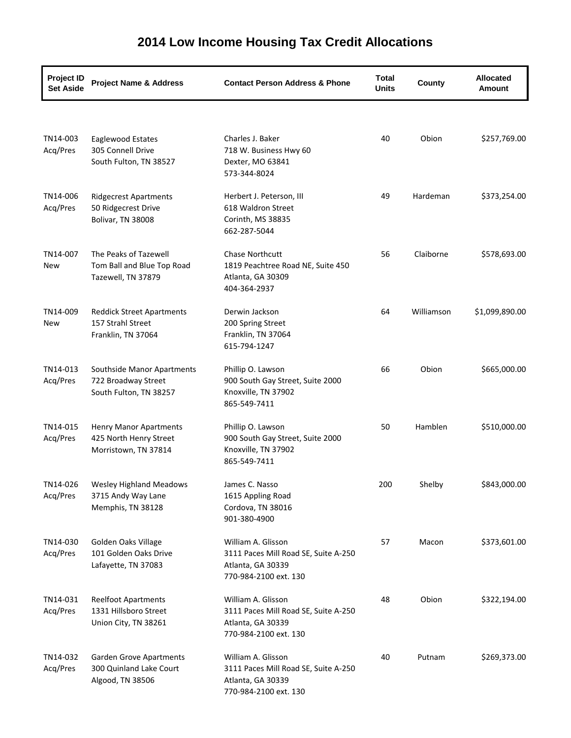| <b>Project ID</b><br><b>Set Aside</b> | <b>Project Name &amp; Address</b>                                               | <b>Contact Person Address &amp; Phone</b>                                                                | <b>Total</b><br><b>Units</b> | County     | <b>Allocated</b><br>Amount |
|---------------------------------------|---------------------------------------------------------------------------------|----------------------------------------------------------------------------------------------------------|------------------------------|------------|----------------------------|
|                                       |                                                                                 |                                                                                                          |                              |            |                            |
| TN14-003<br>Acq/Pres                  | Eaglewood Estates<br>305 Connell Drive<br>South Fulton, TN 38527                | Charles J. Baker<br>718 W. Business Hwy 60<br>Dexter, MO 63841<br>573-344-8024                           | 40                           | Obion      | \$257,769.00               |
| TN14-006<br>Acq/Pres                  | <b>Ridgecrest Apartments</b><br>50 Ridgecrest Drive<br>Bolivar, TN 38008        | Herbert J. Peterson, III<br>618 Waldron Street<br>Corinth, MS 38835<br>662-287-5044                      | 49                           | Hardeman   | \$373,254.00               |
| TN14-007<br>New                       | The Peaks of Tazewell<br>Tom Ball and Blue Top Road<br>Tazewell, TN 37879       | Chase Northcutt<br>1819 Peachtree Road NE, Suite 450<br>Atlanta, GA 30309<br>404-364-2937                | 56                           | Claiborne  | \$578,693.00               |
| TN14-009<br>New                       | <b>Reddick Street Apartments</b><br>157 Strahl Street<br>Franklin, TN 37064     | Derwin Jackson<br>200 Spring Street<br>Franklin, TN 37064<br>615-794-1247                                | 64                           | Williamson | \$1,099,890.00             |
| TN14-013<br>Acq/Pres                  | Southside Manor Apartments<br>722 Broadway Street<br>South Fulton, TN 38257     | Phillip O. Lawson<br>900 South Gay Street, Suite 2000<br>Knoxville, TN 37902<br>865-549-7411             | 66                           | Obion      | \$665,000.00               |
| TN14-015<br>Acq/Pres                  | <b>Henry Manor Apartments</b><br>425 North Henry Street<br>Morristown, TN 37814 | Phillip O. Lawson<br>900 South Gay Street, Suite 2000<br>Knoxville, TN 37902<br>865-549-7411             | 50                           | Hamblen    | \$510,000.00               |
| TN14-026<br>Acq/Pres                  | <b>Wesley Highland Meadows</b><br>3715 Andy Way Lane<br>Memphis, TN 38128       | James C. Nasso<br>1615 Appling Road<br>Cordova, TN 38016<br>901-380-4900                                 | 200                          | Shelby     | \$843,000.00               |
| TN14-030<br>Acq/Pres                  | Golden Oaks Village<br>101 Golden Oaks Drive<br>Lafayette, TN 37083             | William A. Glisson<br>3111 Paces Mill Road SE, Suite A-250<br>Atlanta, GA 30339<br>770-984-2100 ext. 130 | 57                           | Macon      | \$373,601.00               |
| TN14-031<br>Acq/Pres                  | <b>Reelfoot Apartments</b><br>1331 Hillsboro Street<br>Union City, TN 38261     | William A. Glisson<br>3111 Paces Mill Road SE, Suite A-250<br>Atlanta, GA 30339<br>770-984-2100 ext. 130 | 48                           | Obion      | \$322,194.00               |
| TN14-032<br>Acq/Pres                  | Garden Grove Apartments<br>300 Quinland Lake Court<br>Algood, TN 38506          | William A. Glisson<br>3111 Paces Mill Road SE, Suite A-250<br>Atlanta, GA 30339<br>770-984-2100 ext. 130 | 40                           | Putnam     | \$269,373.00               |

## **2014 Low Income Housing Tax Credit Allocations**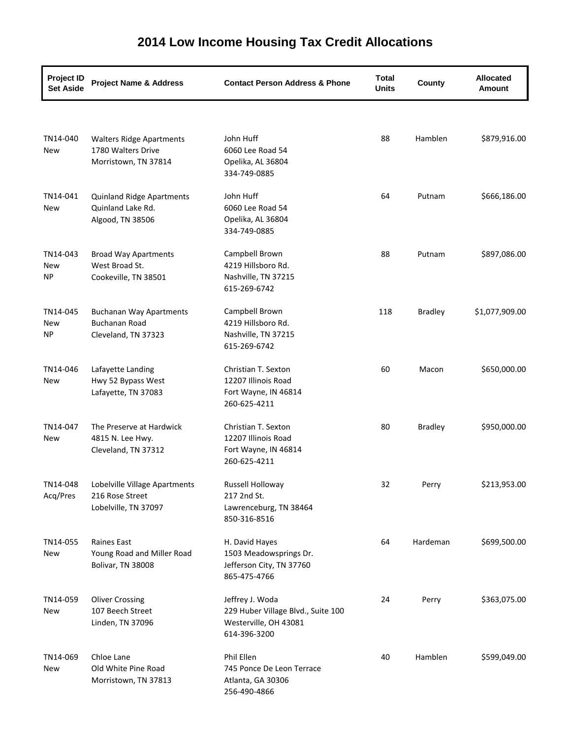| <b>Project ID</b><br><b>Set Aside</b> | <b>Project Name &amp; Address</b>                                             | <b>Contact Person Address &amp; Phone</b>                                                      | <b>Total</b><br><b>Units</b> | County         | <b>Allocated</b><br><b>Amount</b> |
|---------------------------------------|-------------------------------------------------------------------------------|------------------------------------------------------------------------------------------------|------------------------------|----------------|-----------------------------------|
|                                       |                                                                               |                                                                                                |                              |                |                                   |
| TN14-040<br>New                       | <b>Walters Ridge Apartments</b><br>1780 Walters Drive<br>Morristown, TN 37814 | John Huff<br>6060 Lee Road 54<br>Opelika, AL 36804<br>334-749-0885                             | 88                           | Hamblen        | \$879,916.00                      |
| TN14-041<br>New                       | <b>Quinland Ridge Apartments</b><br>Quinland Lake Rd.<br>Algood, TN 38506     | John Huff<br>6060 Lee Road 54<br>Opelika, AL 36804<br>334-749-0885                             | 64                           | Putnam         | \$666,186.00                      |
| TN14-043<br>New<br><b>NP</b>          | <b>Broad Way Apartments</b><br>West Broad St.<br>Cookeville, TN 38501         | Campbell Brown<br>4219 Hillsboro Rd.<br>Nashville, TN 37215<br>615-269-6742                    | 88                           | Putnam         | \$897,086.00                      |
| TN14-045<br><b>New</b><br>NP.         | <b>Buchanan Way Apartments</b><br><b>Buchanan Road</b><br>Cleveland, TN 37323 | Campbell Brown<br>4219 Hillsboro Rd.<br>Nashville, TN 37215<br>615-269-6742                    | 118                          | <b>Bradley</b> | \$1,077,909.00                    |
| TN14-046<br>New                       | Lafayette Landing<br>Hwy 52 Bypass West<br>Lafayette, TN 37083                | Christian T. Sexton<br>12207 Illinois Road<br>Fort Wayne, IN 46814<br>260-625-4211             | 60                           | Macon          | \$650,000.00                      |
| TN14-047<br>New                       | The Preserve at Hardwick<br>4815 N. Lee Hwy.<br>Cleveland, TN 37312           | Christian T. Sexton<br>12207 Illinois Road<br>Fort Wayne, IN 46814<br>260-625-4211             | 80                           | <b>Bradley</b> | \$950,000.00                      |
| TN14-048<br>Acq/Pres                  | Lobelville Village Apartments<br>216 Rose Street<br>Lobelville, TN 37097      | Russell Holloway<br>217 2nd St.<br>Lawrenceburg, TN 38464<br>850-316-8516                      | 32                           | Perry          | \$213,953.00                      |
| TN14-055<br>New                       | Raines East<br>Young Road and Miller Road<br>Bolivar, TN 38008                | H. David Hayes<br>1503 Meadowsprings Dr.<br>Jefferson City, TN 37760<br>865-475-4766           | 64                           | Hardeman       | \$699,500.00                      |
| TN14-059<br>New                       | <b>Oliver Crossing</b><br>107 Beech Street<br>Linden, TN 37096                | Jeffrey J. Woda<br>229 Huber Village Blvd., Suite 100<br>Westerville, OH 43081<br>614-396-3200 | 24                           | Perry          | \$363,075.00                      |
| TN14-069<br>New                       | Chloe Lane<br>Old White Pine Road<br>Morristown, TN 37813                     | Phil Ellen<br>745 Ponce De Leon Terrace<br>Atlanta, GA 30306<br>256-490-4866                   | 40                           | Hamblen        | \$599,049.00                      |

## **2014 Low Income Housing Tax Credit Allocations**